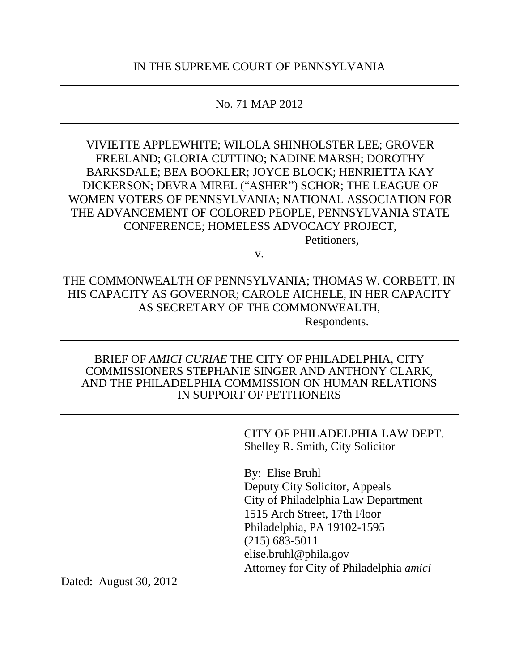## No. 71 MAP 2012

VIVIETTE APPLEWHITE; WILOLA SHINHOLSTER LEE; GROVER FREELAND; GLORIA CUTTINO; NADINE MARSH; DOROTHY BARKSDALE; BEA BOOKLER; JOYCE BLOCK; HENRIETTA KAY DICKERSON; DEVRA MIREL ("ASHER") SCHOR; THE LEAGUE OF WOMEN VOTERS OF PENNSYLVANIA; NATIONAL ASSOCIATION FOR THE ADVANCEMENT OF COLORED PEOPLE, PENNSYLVANIA STATE CONFERENCE; HOMELESS ADVOCACY PROJECT,

v.

Petitioners,

THE COMMONWEALTH OF PENNSYLVANIA; THOMAS W. CORBETT, IN HIS CAPACITY AS GOVERNOR; CAROLE AICHELE, IN HER CAPACITY AS SECRETARY OF THE COMMONWEALTH,

Respondents.

### BRIEF OF *AMICI CURIAE* THE CITY OF PHILADELPHIA, CITY COMMISSIONERS STEPHANIE SINGER AND ANTHONY CLARK, AND THE PHILADELPHIA COMMISSION ON HUMAN RELATIONS IN SUPPORT OF PETITIONERS

CITY OF PHILADELPHIA LAW DEPT. Shelley R. Smith, City Solicitor

By: Elise Bruhl Deputy City Solicitor, Appeals City of Philadelphia Law Department 1515 Arch Street, 17th Floor Philadelphia, PA 19102-1595 (215) 683-5011 elise.bruhl@phila.gov Attorney for City of Philadelphia *amici*

Dated: August 30, 2012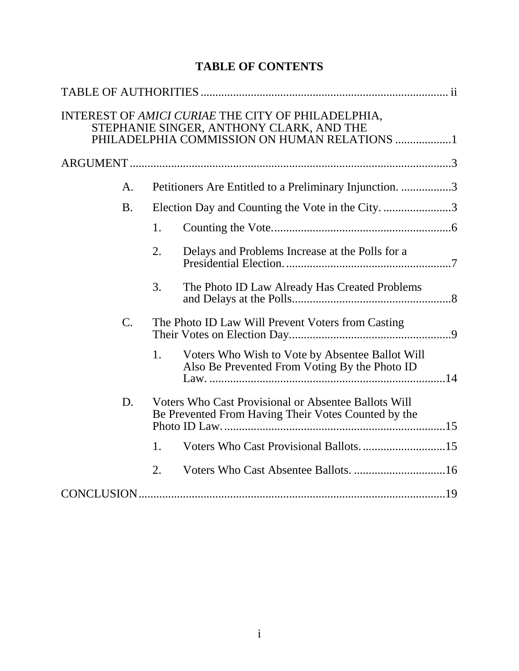|                 |                                                                                                                    | INTEREST OF AMICI CURIAE THE CITY OF PHILADELPHIA,<br>STEPHANIE SINGER, ANTHONY CLARK, AND THE<br>PHILADELPHIA COMMISSION ON HUMAN RELATIONS 1 |  |  |
|-----------------|--------------------------------------------------------------------------------------------------------------------|------------------------------------------------------------------------------------------------------------------------------------------------|--|--|
|                 |                                                                                                                    |                                                                                                                                                |  |  |
| А.              |                                                                                                                    | Petitioners Are Entitled to a Preliminary Injunction. 3                                                                                        |  |  |
| <b>B.</b>       | Election Day and Counting the Vote in the City. 3                                                                  |                                                                                                                                                |  |  |
|                 | 1.                                                                                                                 |                                                                                                                                                |  |  |
|                 | 2.                                                                                                                 | Delays and Problems Increase at the Polls for a                                                                                                |  |  |
|                 | 3.                                                                                                                 | The Photo ID Law Already Has Created Problems                                                                                                  |  |  |
| $\mathcal{C}$ . | The Photo ID Law Will Prevent Voters from Casting                                                                  |                                                                                                                                                |  |  |
|                 | 1.                                                                                                                 | Voters Who Wish to Vote by Absentee Ballot Will<br>Also Be Prevented From Voting By the Photo ID                                               |  |  |
| D.              | <b>Voters Who Cast Provisional or Absentee Ballots Will</b><br>Be Prevented From Having Their Votes Counted by the |                                                                                                                                                |  |  |
|                 | 1.                                                                                                                 |                                                                                                                                                |  |  |
|                 | 2.                                                                                                                 |                                                                                                                                                |  |  |
|                 |                                                                                                                    |                                                                                                                                                |  |  |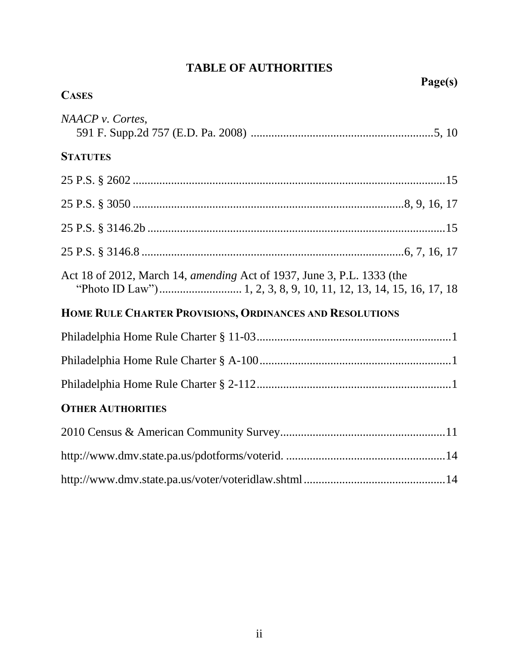<span id="page-2-0"></span>

| <b>CASES</b>                                                           | Page(s) |
|------------------------------------------------------------------------|---------|
| NAACP v. Cortes,                                                       |         |
| <b>STATUTES</b>                                                        |         |
|                                                                        |         |
|                                                                        |         |
|                                                                        |         |
|                                                                        |         |
| Act 18 of 2012, March 14, amending Act of 1937, June 3, P.L. 1333 (the |         |
| HOME RULE CHARTER PROVISIONS, ORDINANCES AND RESOLUTIONS               |         |
|                                                                        |         |
|                                                                        |         |
|                                                                        |         |
| <b>OTHER AUTHORITIES</b>                                               |         |
|                                                                        |         |
|                                                                        |         |
|                                                                        |         |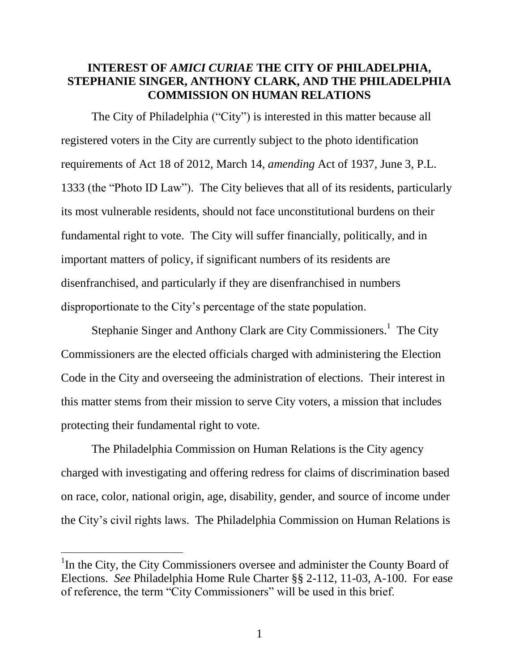## <span id="page-3-0"></span>**INTEREST OF** *AMICI CURIAE* **THE CITY OF PHILADELPHIA, STEPHANIE SINGER, ANTHONY CLARK, AND THE PHILADELPHIA COMMISSION ON HUMAN RELATIONS**

<span id="page-3-1"></span>The City of Philadelphia ("City") is interested in this matter because all registered voters in the City are currently subject to the photo identification requirements of Act 18 of 2012, March 14, *amending* Act of 1937, June 3, P.L. 1333 (the "Photo ID Law"). The City believes that all of its residents, particularly its most vulnerable residents, should not face unconstitutional burdens on their fundamental right to vote. The City will suffer financially, politically, and in important matters of policy, if significant numbers of its residents are disenfranchised, and particularly if they are disenfranchised in numbers disproportionate to the City's percentage of the state population.

Stephanie Singer and Anthony Clark are City Commissioners.<sup>1</sup> The City Commissioners are the elected officials charged with administering the Election Code in the City and overseeing the administration of elections. Their interest in this matter stems from their mission to serve City voters, a mission that includes protecting their fundamental right to vote.

The Philadelphia Commission on Human Relations is the City agency charged with investigating and offering redress for claims of discrimination based on race, color, national origin, age, disability, gender, and source of income under the City's civil rights laws. The Philadelphia Commission on Human Relations is

<span id="page-3-3"></span><span id="page-3-2"></span> $\overline{a}$ 

<span id="page-3-4"></span><sup>&</sup>lt;sup>1</sup>In the City, the City Commissioners oversee and administer the County Board of Elections. *See* Philadelphia Home Rule Charter §§ 2-112, 11-03, A-100. For ease of reference, the term "City Commissioners" will be used in this brief.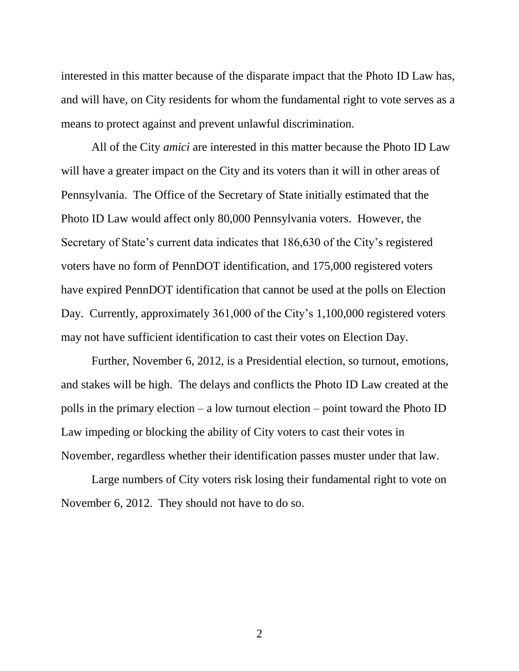<span id="page-4-0"></span>interested in this matter because of the disparate impact that the Photo ID Law has, and will have, on City residents for whom the fundamental right to vote serves as a means to protect against and prevent unlawful discrimination.

All of the City *amici* are interested in this matter because the Photo ID Law will have a greater impact on the City and its voters than it will in other areas of Pennsylvania. The Office of the Secretary of State initially estimated that the Photo ID Law would affect only 80,000 Pennsylvania voters. However, the Secretary of State's current data indicates that 186,630 of the City's registered voters have no form of PennDOT identification, and 175,000 registered voters have expired PennDOT identification that cannot be used at the polls on Election Day. Currently, approximately 361,000 of the City's 1,100,000 registered voters may not have sufficient identification to cast their votes on Election Day.

Further, November 6, 2012, is a Presidential election, so turnout, emotions, and stakes will be high. The delays and conflicts the Photo ID Law created at the polls in the primary election – a low turnout election – point toward the Photo ID Law impeding or blocking the ability of City voters to cast their votes in November, regardless whether their identification passes muster under that law.

Large numbers of City voters risk losing their fundamental right to vote on November 6, 2012. They should not have to do so.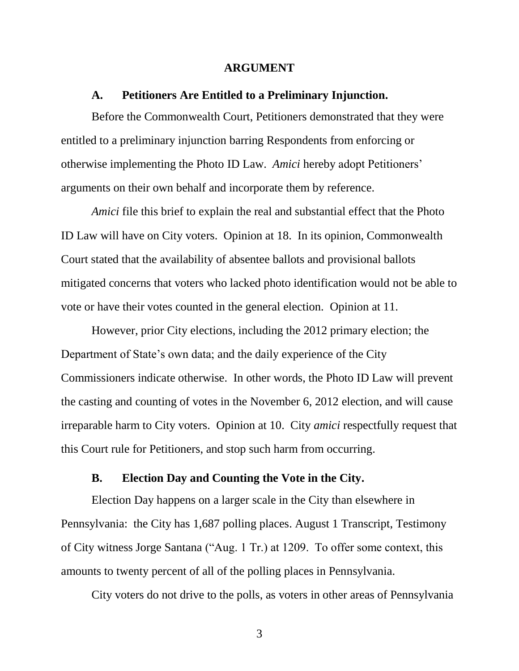#### <span id="page-5-3"></span>**ARGUMENT**

#### <span id="page-5-0"></span>**A. Petitioners Are Entitled to a Preliminary Injunction.**

<span id="page-5-1"></span>Before the Commonwealth Court, Petitioners demonstrated that they were entitled to a preliminary injunction barring Respondents from enforcing or otherwise implementing the Photo ID Law. *Amici* hereby adopt Petitioners' arguments on their own behalf and incorporate them by reference.

*Amici* file this brief to explain the real and substantial effect that the Photo ID Law will have on City voters. Opinion at 18. In its opinion, Commonwealth Court stated that the availability of absentee ballots and provisional ballots mitigated concerns that voters who lacked photo identification would not be able to vote or have their votes counted in the general election. Opinion at 11.

However, prior City elections, including the 2012 primary election; the Department of State's own data; and the daily experience of the City Commissioners indicate otherwise. In other words, the Photo ID Law will prevent the casting and counting of votes in the November 6, 2012 election, and will cause irreparable harm to City voters. Opinion at 10. City *amici* respectfully request that this Court rule for Petitioners, and stop such harm from occurring.

#### **B. Election Day and Counting the Vote in the City.**

<span id="page-5-2"></span>Election Day happens on a larger scale in the City than elsewhere in Pennsylvania: the City has 1,687 polling places. August 1 Transcript, Testimony of City witness Jorge Santana ("Aug. 1 Tr.) at 1209. To offer some context, this amounts to twenty percent of all of the polling places in Pennsylvania.

City voters do not drive to the polls, as voters in other areas of Pennsylvania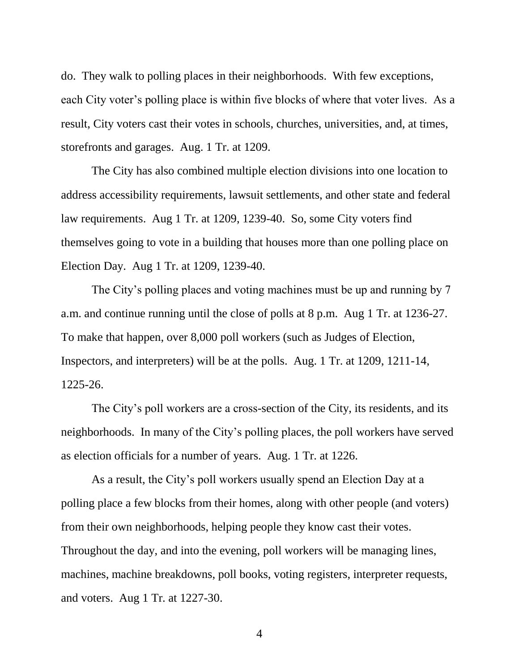do. They walk to polling places in their neighborhoods. With few exceptions, each City voter's polling place is within five blocks of where that voter lives. As a result, City voters cast their votes in schools, churches, universities, and, at times, storefronts and garages. Aug. 1 Tr. at 1209.

The City has also combined multiple election divisions into one location to address accessibility requirements, lawsuit settlements, and other state and federal law requirements. Aug 1 Tr. at 1209, 1239-40. So, some City voters find themselves going to vote in a building that houses more than one polling place on Election Day. Aug 1 Tr. at 1209, 1239-40.

The City's polling places and voting machines must be up and running by 7 a.m. and continue running until the close of polls at 8 p.m. Aug 1 Tr. at 1236-27. To make that happen, over 8,000 poll workers (such as Judges of Election, Inspectors, and interpreters) will be at the polls. Aug. 1 Tr. at 1209, 1211-14, 1225-26.

The City's poll workers are a cross-section of the City, its residents, and its neighborhoods. In many of the City's polling places, the poll workers have served as election officials for a number of years. Aug. 1 Tr. at 1226.

As a result, the City's poll workers usually spend an Election Day at a polling place a few blocks from their homes, along with other people (and voters) from their own neighborhoods, helping people they know cast their votes. Throughout the day, and into the evening, poll workers will be managing lines, machines, machine breakdowns, poll books, voting registers, interpreter requests, and voters. Aug 1 Tr. at 1227-30.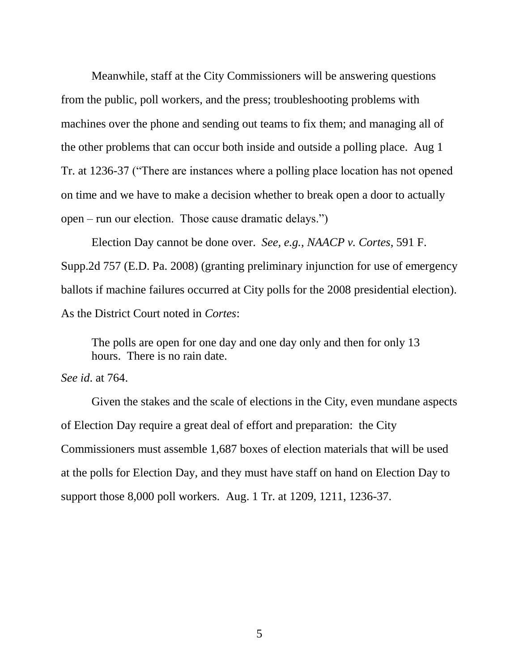Meanwhile, staff at the City Commissioners will be answering questions from the public, poll workers, and the press; troubleshooting problems with machines over the phone and sending out teams to fix them; and managing all of the other problems that can occur both inside and outside a polling place. Aug 1 Tr. at 1236-37 ("There are instances where a polling place location has not opened on time and we have to make a decision whether to break open a door to actually open – run our election. Those cause dramatic delays.")

Election Day cannot be done over. *See, e.g.*, *NAACP v. Cortes*, 591 F. Supp.2d 757 (E.D. Pa. 2008) (granting preliminary injunction for use of emergency ballots if machine failures occurred at City polls for the 2008 presidential election). As the District Court noted in *Cortes*:

<span id="page-7-0"></span>The polls are open for one day and one day only and then for only 13 hours. There is no rain date.

### *See id*. at 764.

Given the stakes and the scale of elections in the City, even mundane aspects of Election Day require a great deal of effort and preparation: the City Commissioners must assemble 1,687 boxes of election materials that will be used at the polls for Election Day, and they must have staff on hand on Election Day to support those 8,000 poll workers. Aug. 1 Tr. at 1209, 1211, 1236-37.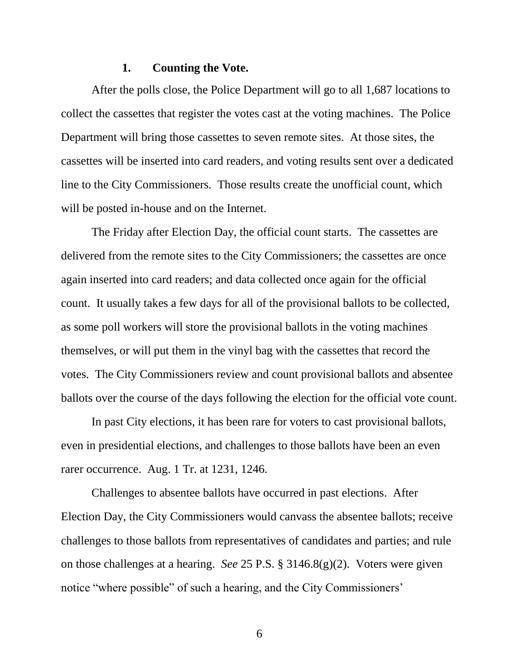#### **1. Counting the Vote.**

<span id="page-8-0"></span>After the polls close, the Police Department will go to all 1,687 locations to collect the cassettes that register the votes cast at the voting machines. The Police Department will bring those cassettes to seven remote sites. At those sites, the cassettes will be inserted into card readers, and voting results sent over a dedicated line to the City Commissioners. Those results create the unofficial count, which will be posted in-house and on the Internet.

The Friday after Election Day, the official count starts. The cassettes are delivered from the remote sites to the City Commissioners; the cassettes are once again inserted into card readers; and data collected once again for the official count. It usually takes a few days for all of the provisional ballots to be collected, as some poll workers will store the provisional ballots in the voting machines themselves, or will put them in the vinyl bag with the cassettes that record the votes. The City Commissioners review and count provisional ballots and absentee ballots over the course of the days following the election for the official vote count.

In past City elections, it has been rare for voters to cast provisional ballots, even in presidential elections, and challenges to those ballots have been an even rarer occurrence. Aug. 1 Tr. at 1231, 1246.

<span id="page-8-1"></span>Challenges to absentee ballots have occurred in past elections. After Election Day, the City Commissioners would canvass the absentee ballots; receive challenges to those ballots from representatives of candidates and parties; and rule on those challenges at a hearing. *See* 25 P.S. § 3146.8(g)(2). Voters were given notice "where possible" of such a hearing, and the City Commissioners'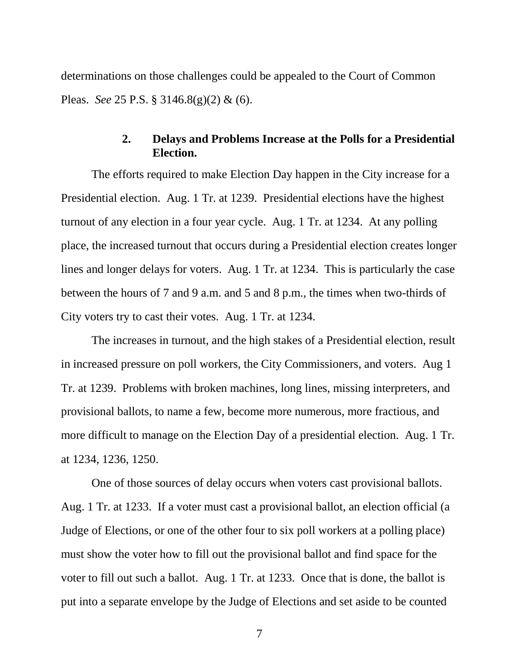determinations on those challenges could be appealed to the Court of Common Pleas. *See* 25 P.S. § 3146.8(g)(2) & (6).

### <span id="page-9-1"></span>**2. Delays and Problems Increase at the Polls for a Presidential Election.**

<span id="page-9-0"></span>The efforts required to make Election Day happen in the City increase for a Presidential election. Aug. 1 Tr. at 1239. Presidential elections have the highest turnout of any election in a four year cycle. Aug. 1 Tr. at 1234. At any polling place, the increased turnout that occurs during a Presidential election creates longer lines and longer delays for voters. Aug. 1 Tr. at 1234. This is particularly the case between the hours of 7 and 9 a.m. and 5 and 8 p.m., the times when two-thirds of City voters try to cast their votes. Aug. 1 Tr. at 1234.

The increases in turnout, and the high stakes of a Presidential election, result in increased pressure on poll workers, the City Commissioners, and voters. Aug 1 Tr. at 1239. Problems with broken machines, long lines, missing interpreters, and provisional ballots, to name a few, become more numerous, more fractious, and more difficult to manage on the Election Day of a presidential election. Aug. 1 Tr. at 1234, 1236, 1250.

One of those sources of delay occurs when voters cast provisional ballots. Aug. 1 Tr. at 1233. If a voter must cast a provisional ballot, an election official (a Judge of Elections, or one of the other four to six poll workers at a polling place) must show the voter how to fill out the provisional ballot and find space for the voter to fill out such a ballot. Aug. 1 Tr. at 1233. Once that is done, the ballot is put into a separate envelope by the Judge of Elections and set aside to be counted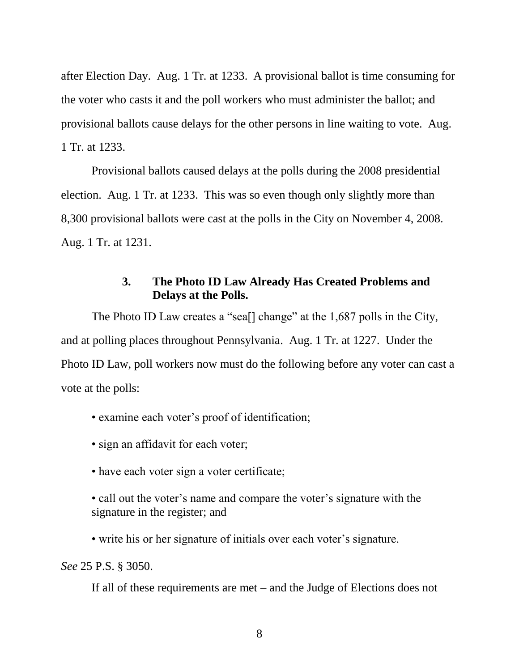after Election Day. Aug. 1 Tr. at 1233. A provisional ballot is time consuming for the voter who casts it and the poll workers who must administer the ballot; and provisional ballots cause delays for the other persons in line waiting to vote. Aug. 1 Tr. at 1233.

Provisional ballots caused delays at the polls during the 2008 presidential election. Aug. 1 Tr. at 1233. This was so even though only slightly more than 8,300 provisional ballots were cast at the polls in the City on November 4, 2008. Aug. 1 Tr. at 1231.

## **3. The Photo ID Law Already Has Created Problems and Delays at the Polls.**

<span id="page-10-2"></span><span id="page-10-0"></span>The Photo ID Law creates a "sea[] change" at the 1,687 polls in the City, and at polling places throughout Pennsylvania. Aug. 1 Tr. at 1227. Under the Photo ID Law, poll workers now must do the following before any voter can cast a vote at the polls:

• examine each voter's proof of identification;

- sign an affidavit for each voter;
- have each voter sign a voter certificate;

• call out the voter's name and compare the voter's signature with the signature in the register; and

• write his or her signature of initials over each voter's signature.

<span id="page-10-1"></span>*See* 25 P.S. § 3050.

If all of these requirements are met – and the Judge of Elections does not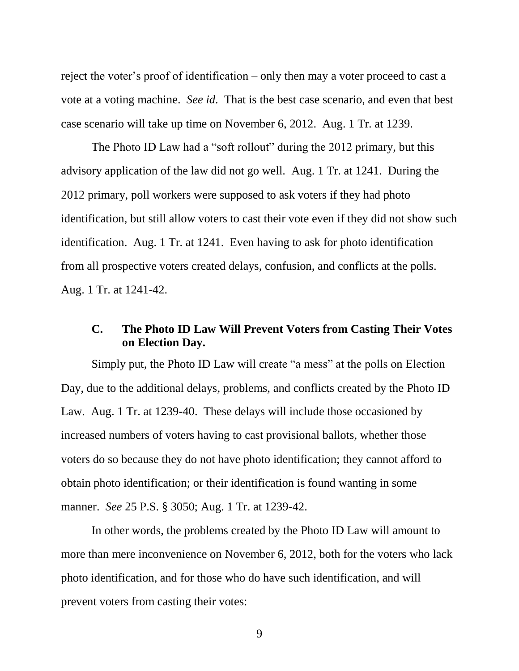<span id="page-11-1"></span>reject the voter's proof of identification – only then may a voter proceed to cast a vote at a voting machine. *See id*. That is the best case scenario, and even that best case scenario will take up time on November 6, 2012. Aug. 1 Tr. at 1239.

<span id="page-11-2"></span>The Photo ID Law had a "soft rollout" during the 2012 primary, but this advisory application of the law did not go well. Aug. 1 Tr. at 1241. During the 2012 primary, poll workers were supposed to ask voters if they had photo identification, but still allow voters to cast their vote even if they did not show such identification. Aug. 1 Tr. at 1241. Even having to ask for photo identification from all prospective voters created delays, confusion, and conflicts at the polls. Aug. 1 Tr. at 1241-42.

## <span id="page-11-0"></span>**C. The Photo ID Law Will Prevent Voters from Casting Their Votes on Election Day.**

Simply put, the Photo ID Law will create "a mess" at the polls on Election Day, due to the additional delays, problems, and conflicts created by the Photo ID Law. Aug. 1 Tr. at 1239-40. These delays will include those occasioned by increased numbers of voters having to cast provisional ballots, whether those voters do so because they do not have photo identification; they cannot afford to obtain photo identification; or their identification is found wanting in some manner. *See* 25 P.S. § 3050; Aug. 1 Tr. at 1239-42.

In other words, the problems created by the Photo ID Law will amount to more than mere inconvenience on November 6, 2012, both for the voters who lack photo identification, and for those who do have such identification, and will prevent voters from casting their votes: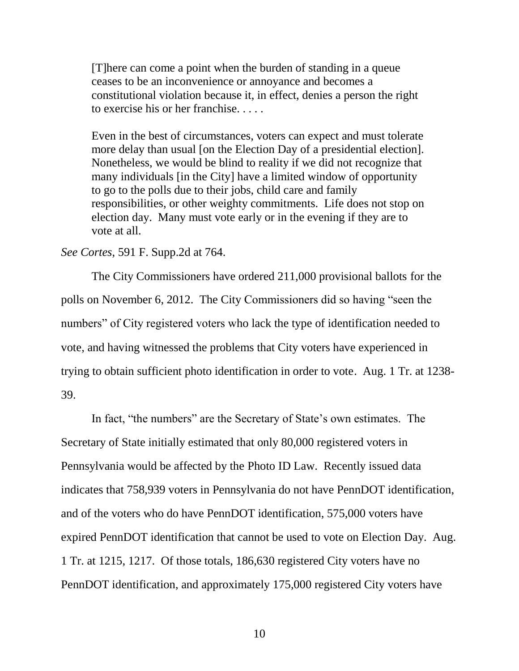[T]here can come a point when the burden of standing in a queue ceases to be an inconvenience or annoyance and becomes a constitutional violation because it, in effect, denies a person the right to exercise his or her franchise. . . . .

Even in the best of circumstances, voters can expect and must tolerate more delay than usual [on the Election Day of a presidential election]. Nonetheless, we would be blind to reality if we did not recognize that many individuals [in the City] have a limited window of opportunity to go to the polls due to their jobs, child care and family responsibilities, or other weighty commitments. Life does not stop on election day. Many must vote early or in the evening if they are to vote at all.

#### <span id="page-12-0"></span>*See Cortes*, 591 F. Supp.2d at 764.

The City Commissioners have ordered 211,000 provisional ballots for the polls on November 6, 2012. The City Commissioners did so having "seen the numbers" of City registered voters who lack the type of identification needed to vote, and having witnessed the problems that City voters have experienced in trying to obtain sufficient photo identification in order to vote. Aug. 1 Tr. at 1238- 39.

<span id="page-12-1"></span>In fact, "the numbers" are the Secretary of State's own estimates. The Secretary of State initially estimated that only 80,000 registered voters in Pennsylvania would be affected by the Photo ID Law. Recently issued data indicates that 758,939 voters in Pennsylvania do not have PennDOT identification, and of the voters who do have PennDOT identification, 575,000 voters have expired PennDOT identification that cannot be used to vote on Election Day. Aug. 1 Tr. at 1215, 1217. Of those totals, 186,630 registered City voters have no PennDOT identification, and approximately 175,000 registered City voters have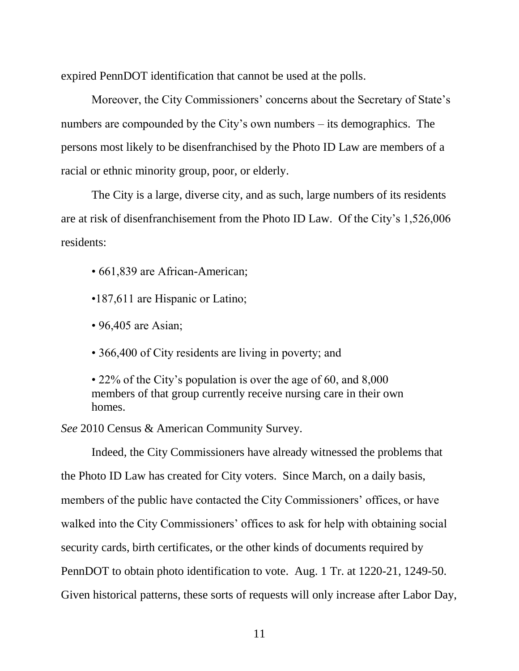expired PennDOT identification that cannot be used at the polls.

Moreover, the City Commissioners' concerns about the Secretary of State's numbers are compounded by the City's own numbers – its demographics. The persons most likely to be disenfranchised by the Photo ID Law are members of a racial or ethnic minority group, poor, or elderly.

The City is a large, diverse city, and as such, large numbers of its residents are at risk of disenfranchisement from the Photo ID Law. Of the City's 1,526,006 residents:

- 661,839 are African-American;
- •187,611 are Hispanic or Latino;
- 96,405 are Asian;
- 366,400 of City residents are living in poverty; and

• 22% of the City's population is over the age of 60, and 8,000 members of that group currently receive nursing care in their own homes.

<span id="page-13-1"></span>*See* 2010 Census & American Community Survey.

<span id="page-13-0"></span>Indeed, the City Commissioners have already witnessed the problems that the Photo ID Law has created for City voters. Since March, on a daily basis, members of the public have contacted the City Commissioners' offices, or have walked into the City Commissioners' offices to ask for help with obtaining social security cards, birth certificates, or the other kinds of documents required by PennDOT to obtain photo identification to vote. Aug. 1 Tr. at 1220-21, 1249-50. Given historical patterns, these sorts of requests will only increase after Labor Day,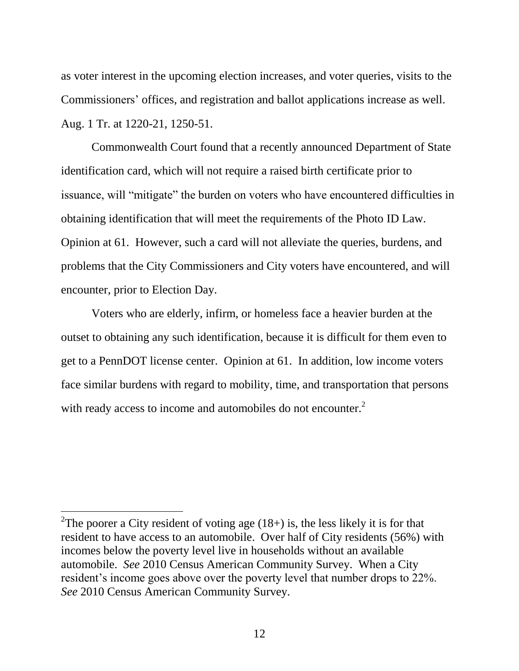as voter interest in the upcoming election increases, and voter queries, visits to the Commissioners' offices, and registration and ballot applications increase as well. Aug. 1 Tr. at 1220-21, 1250-51.

<span id="page-14-0"></span>Commonwealth Court found that a recently announced Department of State identification card, which will not require a raised birth certificate prior to issuance, will "mitigate" the burden on voters who have encountered difficulties in obtaining identification that will meet the requirements of the Photo ID Law. Opinion at 61. However, such a card will not alleviate the queries, burdens, and problems that the City Commissioners and City voters have encountered, and will encounter, prior to Election Day.

Voters who are elderly, infirm, or homeless face a heavier burden at the outset to obtaining any such identification, because it is difficult for them even to get to a PennDOT license center. Opinion at 61. In addition, low income voters face similar burdens with regard to mobility, time, and transportation that persons with ready access to income and automobiles do not encounter.<sup>2</sup>

 $\overline{a}$ 

<sup>&</sup>lt;sup>2</sup>The poorer a City resident of voting age  $(18+)$  is, the less likely it is for that resident to have access to an automobile. Over half of City residents (56%) with incomes below the poverty level live in households without an available automobile. *See* 2010 Census American Community Survey. When a City resident's income goes above over the poverty level that number drops to 22%. *See* 2010 Census American Community Survey.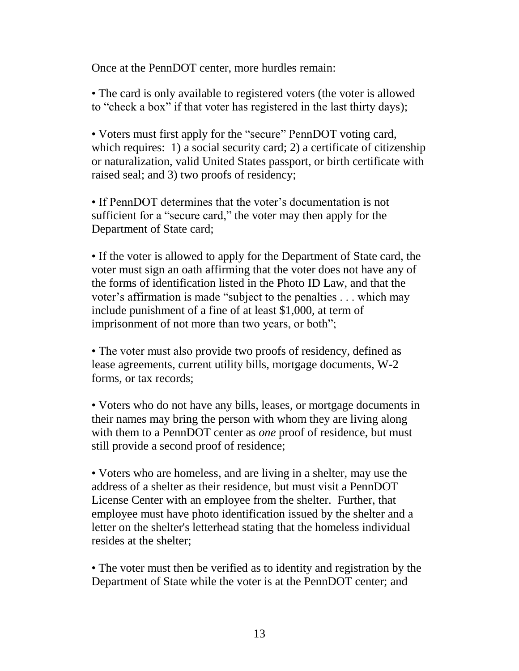Once at the PennDOT center, more hurdles remain:

• The card is only available to registered voters (the voter is allowed to "check a box" if that voter has registered in the last thirty days);

• Voters must first apply for the "secure" PennDOT voting card, which requires: 1) a social security card; 2) a certificate of citizenship or naturalization, valid United States passport, or birth certificate with raised seal; and 3) two proofs of residency;

• If PennDOT determines that the voter's documentation is not sufficient for a "secure card," the voter may then apply for the Department of State card;

• If the voter is allowed to apply for the Department of State card, the voter must sign an oath affirming that the voter does not have any of the forms of identification listed in the Photo ID Law, and that the voter's affirmation is made "subject to the penalties . . . which may include punishment of a fine of at least \$1,000, at term of imprisonment of not more than two years, or both";

• The voter must also provide two proofs of residency, defined as lease agreements, current utility bills, mortgage documents, W-2 forms, or tax records;

• Voters who do not have any bills, leases, or mortgage documents in their names may bring the person with whom they are living along with them to a PennDOT center as *one* proof of residence, but must still provide a second proof of residence;

• Voters who are homeless, and are living in a shelter, may use the address of a shelter as their residence, but must visit a PennDOT License Center with an employee from the shelter. Further, that employee must have photo identification issued by the shelter and a letter on the shelter's letterhead stating that the homeless individual resides at the shelter;

• The voter must then be verified as to identity and registration by the Department of State while the voter is at the PennDOT center; and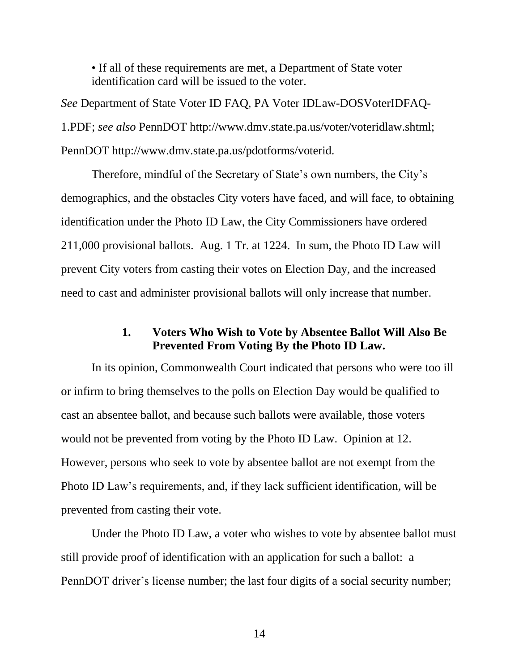<span id="page-16-3"></span>• If all of these requirements are met, a Department of State voter identification card will be issued to the voter.

*See* Department of State Voter ID FAQ, PA Voter IDLaw-DOSVoterIDFAQ-1.PDF; *see also* PennDOT http://www.dmv.state.pa.us/voter/voteridlaw.shtml; PennDOT http://www.dmv.state.pa.us/pdotforms/voterid.

<span id="page-16-2"></span>Therefore, mindful of the Secretary of State's own numbers, the City's demographics, and the obstacles City voters have faced, and will face, to obtaining identification under the Photo ID Law, the City Commissioners have ordered 211,000 provisional ballots. Aug. 1 Tr. at 1224. In sum, the Photo ID Law will prevent City voters from casting their votes on Election Day, and the increased need to cast and administer provisional ballots will only increase that number.

### <span id="page-16-1"></span>**1. Voters Who Wish to Vote by Absentee Ballot Will Also Be Prevented From Voting By the Photo ID Law.**

<span id="page-16-0"></span>In its opinion, Commonwealth Court indicated that persons who were too ill or infirm to bring themselves to the polls on Election Day would be qualified to cast an absentee ballot, and because such ballots were available, those voters would not be prevented from voting by the Photo ID Law. Opinion at 12. However, persons who seek to vote by absentee ballot are not exempt from the Photo ID Law's requirements, and, if they lack sufficient identification, will be prevented from casting their vote.

Under the Photo ID Law, a voter who wishes to vote by absentee ballot must still provide proof of identification with an application for such a ballot: a PennDOT driver's license number; the last four digits of a social security number;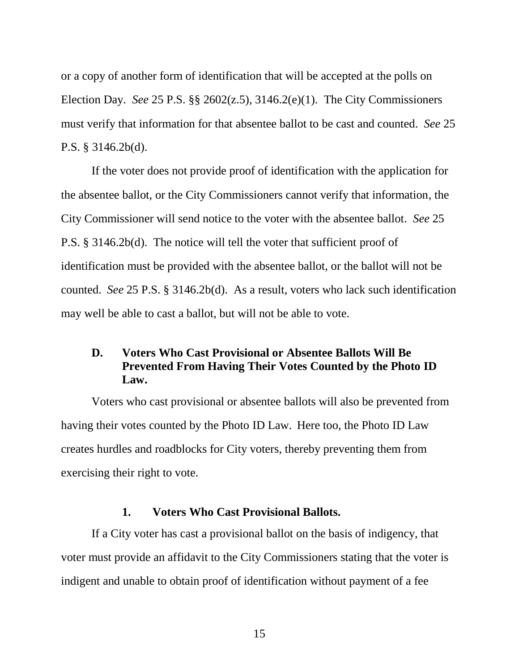<span id="page-17-3"></span><span id="page-17-2"></span>or a copy of another form of identification that will be accepted at the polls on Election Day. *See* 25 P.S. §§ 2602(z.5), 3146.2(e)(1). The City Commissioners must verify that information for that absentee ballot to be cast and counted. *See* 25 P.S. § 3146.2b(d).

If the voter does not provide proof of identification with the application for the absentee ballot, or the City Commissioners cannot verify that information, the City Commissioner will send notice to the voter with the absentee ballot. *See* 25 P.S. § 3146.2b(d). The notice will tell the voter that sufficient proof of identification must be provided with the absentee ballot, or the ballot will not be counted. *See* 25 P.S. § 3146.2b(d). As a result, voters who lack such identification may well be able to cast a ballot, but will not be able to vote.

# <span id="page-17-4"></span><span id="page-17-0"></span>**D. Voters Who Cast Provisional or Absentee Ballots Will Be Prevented From Having Their Votes Counted by the Photo ID Law.**

Voters who cast provisional or absentee ballots will also be prevented from having their votes counted by the Photo ID Law. Here too, the Photo ID Law creates hurdles and roadblocks for City voters, thereby preventing them from exercising their right to vote.

#### **1. Voters Who Cast Provisional Ballots.**

<span id="page-17-1"></span>If a City voter has cast a provisional ballot on the basis of indigency, that voter must provide an affidavit to the City Commissioners stating that the voter is indigent and unable to obtain proof of identification without payment of a fee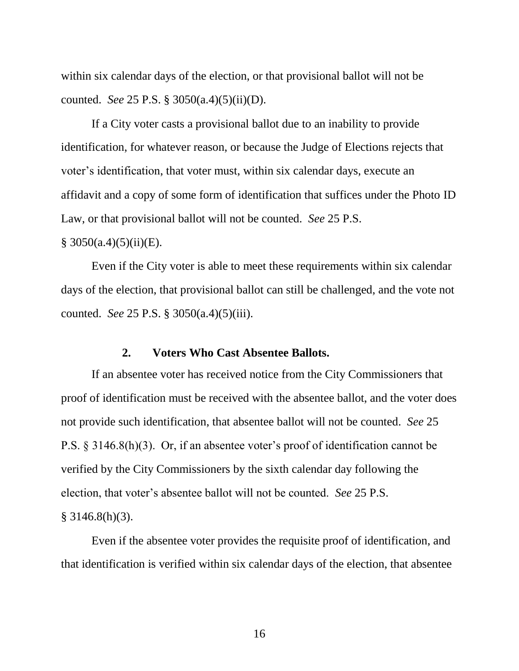<span id="page-18-1"></span>within six calendar days of the election, or that provisional ballot will not be counted. *See* 25 P.S. § 3050(a.4)(5)(ii)(D).

If a City voter casts a provisional ballot due to an inability to provide identification, for whatever reason, or because the Judge of Elections rejects that voter's identification, that voter must, within six calendar days, execute an affidavit and a copy of some form of identification that suffices under the Photo ID Law, or that provisional ballot will not be counted. *See* 25 P.S.

### $§ 3050(a.4)(5)(ii)(E).$

Even if the City voter is able to meet these requirements within six calendar days of the election, that provisional ballot can still be challenged, and the vote not counted. *See* 25 P.S. § 3050(a.4)(5)(iii).

#### <span id="page-18-3"></span><span id="page-18-2"></span>**2. Voters Who Cast Absentee Ballots.**

<span id="page-18-0"></span>If an absentee voter has received notice from the City Commissioners that proof of identification must be received with the absentee ballot, and the voter does not provide such identification, that absentee ballot will not be counted. *See* 25 P.S. § 3146.8(h)(3). Or, if an absentee voter's proof of identification cannot be verified by the City Commissioners by the sixth calendar day following the election, that voter's absentee ballot will not be counted. *See* 25 P.S. § 3146.8(h)(3).

Even if the absentee voter provides the requisite proof of identification, and that identification is verified within six calendar days of the election, that absentee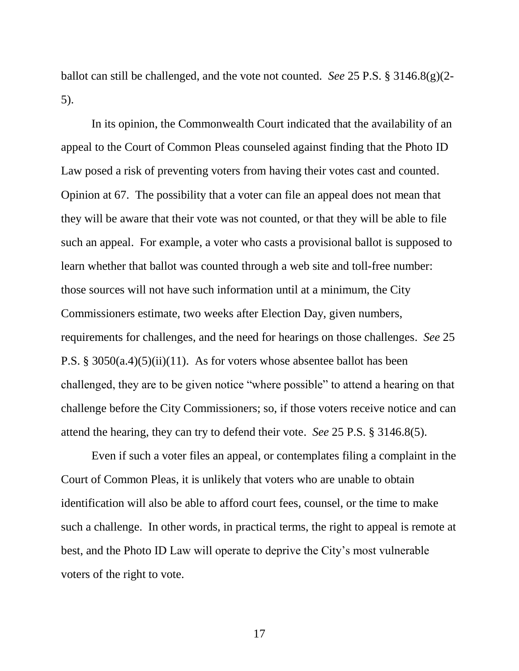<span id="page-19-1"></span>ballot can still be challenged, and the vote not counted. *See* 25 P.S. § 3146.8(g)(2- 5).

In its opinion, the Commonwealth Court indicated that the availability of an appeal to the Court of Common Pleas counseled against finding that the Photo ID Law posed a risk of preventing voters from having their votes cast and counted. Opinion at 67. The possibility that a voter can file an appeal does not mean that they will be aware that their vote was not counted, or that they will be able to file such an appeal. For example, a voter who casts a provisional ballot is supposed to learn whether that ballot was counted through a web site and toll-free number: those sources will not have such information until at a minimum, the City Commissioners estimate, two weeks after Election Day, given numbers, requirements for challenges, and the need for hearings on those challenges. *See* 25 P.S. § 3050(a.4)(5)(ii)(11). As for voters whose absentee ballot has been challenged, they are to be given notice "where possible" to attend a hearing on that challenge before the City Commissioners; so, if those voters receive notice and can attend the hearing, they can try to defend their vote. *See* 25 P.S. § 3146.8(5).

<span id="page-19-2"></span><span id="page-19-0"></span>Even if such a voter files an appeal, or contemplates filing a complaint in the Court of Common Pleas, it is unlikely that voters who are unable to obtain identification will also be able to afford court fees, counsel, or the time to make such a challenge. In other words, in practical terms, the right to appeal is remote at best, and the Photo ID Law will operate to deprive the City's most vulnerable voters of the right to vote.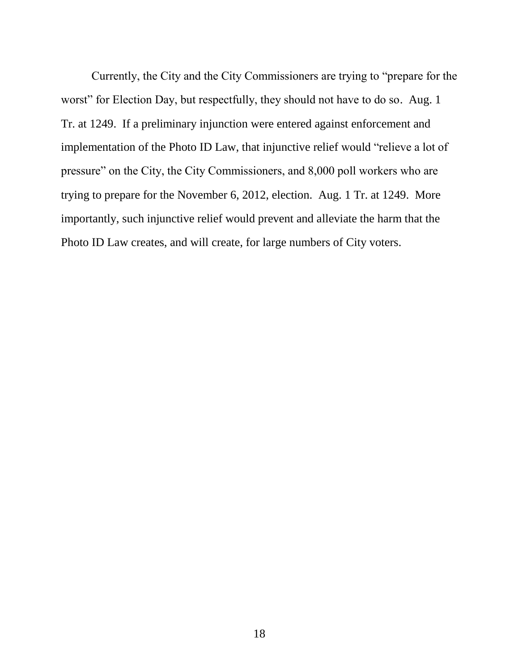<span id="page-20-0"></span>Currently, the City and the City Commissioners are trying to "prepare for the worst" for Election Day, but respectfully, they should not have to do so. Aug. 1 Tr. at 1249. If a preliminary injunction were entered against enforcement and implementation of the Photo ID Law, that injunctive relief would "relieve a lot of pressure" on the City, the City Commissioners, and 8,000 poll workers who are trying to prepare for the November 6, 2012, election. Aug. 1 Tr. at 1249. More importantly, such injunctive relief would prevent and alleviate the harm that the Photo ID Law creates, and will create, for large numbers of City voters.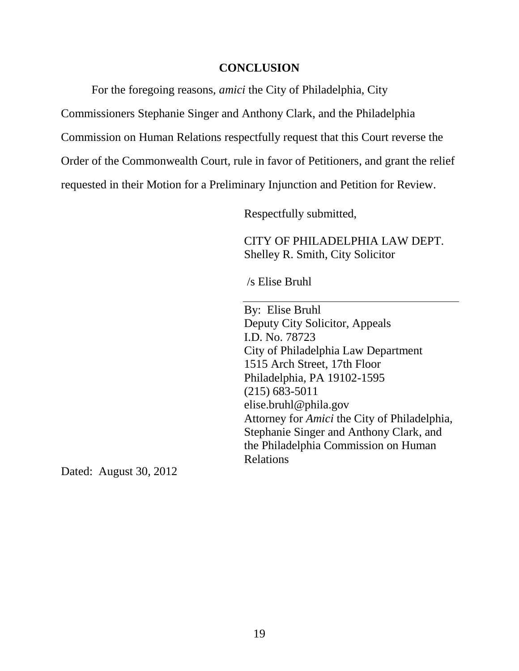### **CONCLUSION**

<span id="page-21-0"></span>For the foregoing reasons, *amici* the City of Philadelphia, City

Commissioners Stephanie Singer and Anthony Clark, and the Philadelphia

Commission on Human Relations respectfully request that this Court reverse the

Order of the Commonwealth Court, rule in favor of Petitioners, and grant the relief

requested in their Motion for a Preliminary Injunction and Petition for Review.

Respectfully submitted,

CITY OF PHILADELPHIA LAW DEPT. Shelley R. Smith, City Solicitor

/s Elise Bruhl

By: Elise Bruhl Deputy City Solicitor, Appeals I.D. No. 78723 City of Philadelphia Law Department 1515 Arch Street, 17th Floor Philadelphia, PA 19102-1595 (215) 683-5011 elise.bruhl@phila.gov Attorney for *Amici* the City of Philadelphia, Stephanie Singer and Anthony Clark, and the Philadelphia Commission on Human Relations

Dated: August 30, 2012